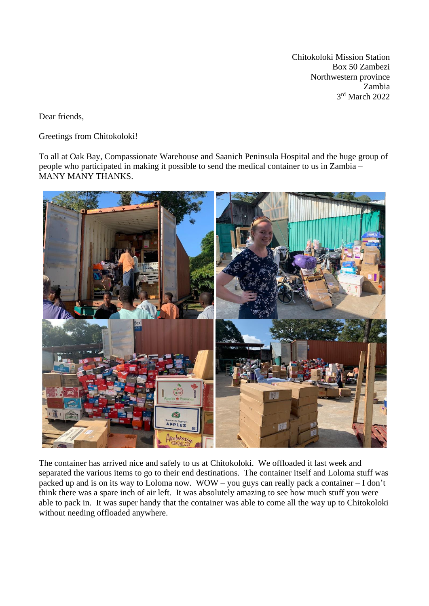Chitokoloki Mission Station Box 50 Zambezi Northwestern province Zambia 3 rd March 2022

Dear friends,

Greetings from Chitokoloki!

To all at Oak Bay, Compassionate Warehouse and Saanich Peninsula Hospital and the huge group of people who participated in making it possible to send the medical container to us in Zambia – MANY MANY THANKS.



The container has arrived nice and safely to us at Chitokoloki. We offloaded it last week and separated the various items to go to their end destinations. The container itself and Loloma stuff was packed up and is on its way to Loloma now. WOW – you guys can really pack a container – I don't think there was a spare inch of air left. It was absolutely amazing to see how much stuff you were able to pack in. It was super handy that the container was able to come all the way up to Chitokoloki without needing offloaded anywhere.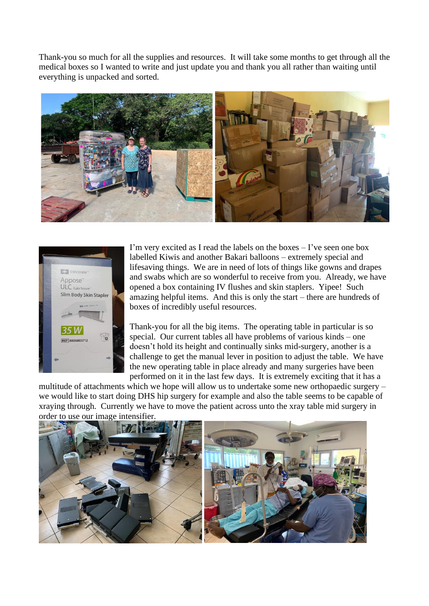Thank-you so much for all the supplies and resources. It will take some months to get through all the medical boxes so I wanted to write and just update you and thank you all rather than waiting until everything is unpacked and sorted.





I'm very excited as I read the labels on the boxes – I've seen one box labelled Kiwis and another Bakari balloons – extremely special and lifesaving things. We are in need of lots of things like gowns and drapes and swabs which are so wonderful to receive from you. Already, we have opened a box containing IV flushes and skin staplers. Yipee! Such amazing helpful items. And this is only the start – there are hundreds of boxes of incredibly useful resources.

Thank-you for all the big items. The operating table in particular is so special. Our current tables all have problems of various kinds – one doesn't hold its height and continually sinks mid-surgery, another is a challenge to get the manual lever in position to adjust the table. We have the new operating table in place already and many surgeries have been performed on it in the last few days. It is extremely exciting that it has a

multitude of attachments which we hope will allow us to undertake some new orthopaedic surgery – we would like to start doing DHS hip surgery for example and also the table seems to be capable of xraying through. Currently we have to move the patient across unto the xray table mid surgery in order to use our image intensifier.

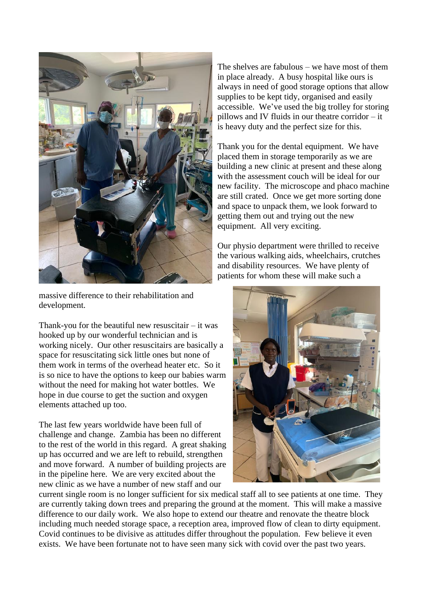

massive difference to their rehabilitation and development.

Thank-you for the beautiful new resuscitair  $-$  it was hooked up by our wonderful technician and is working nicely. Our other resuscitairs are basically a space for resuscitating sick little ones but none of them work in terms of the overhead heater etc. So it is so nice to have the options to keep our babies warm without the need for making hot water bottles. We hope in due course to get the suction and oxygen elements attached up too.

The last few years worldwide have been full of challenge and change. Zambia has been no different to the rest of the world in this regard. A great shaking up has occurred and we are left to rebuild, strengthen and move forward. A number of building projects are in the pipeline here. We are very excited about the new clinic as we have a number of new staff and our

The shelves are fabulous – we have most of them in place already. A busy hospital like ours is always in need of good storage options that allow supplies to be kept tidy, organised and easily accessible. We've used the big trolley for storing pillows and IV fluids in our theatre corridor – it is heavy duty and the perfect size for this.

Thank you for the dental equipment. We have placed them in storage temporarily as we are building a new clinic at present and these along with the assessment couch will be ideal for our new facility. The microscope and phaco machine are still crated. Once we get more sorting done and space to unpack them, we look forward to getting them out and trying out the new equipment. All very exciting.

Our physio department were thrilled to receive the various walking aids, wheelchairs, crutches and disability resources. We have plenty of patients for whom these will make such a



current single room is no longer sufficient for six medical staff all to see patients at one time. They are currently taking down trees and preparing the ground at the moment. This will make a massive difference to our daily work. We also hope to extend our theatre and renovate the theatre block including much needed storage space, a reception area, improved flow of clean to dirty equipment. Covid continues to be divisive as attitudes differ throughout the population. Few believe it even exists. We have been fortunate not to have seen many sick with covid over the past two years.